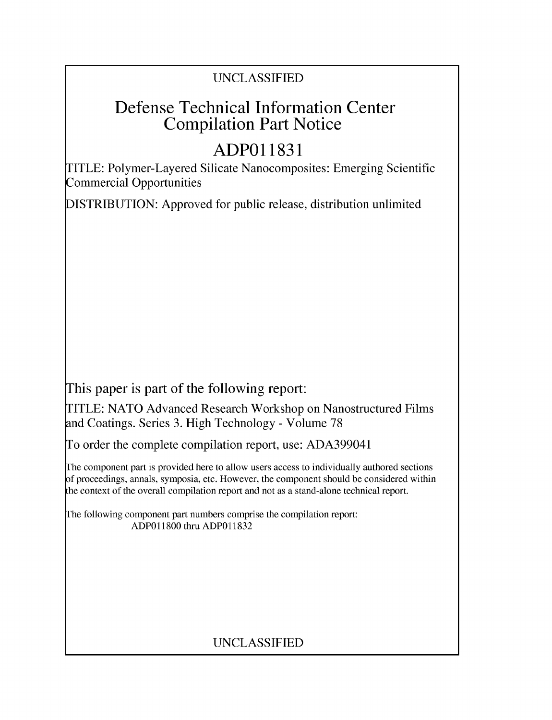# UNCLASSIFIED

# Defense Technical Information Center Compilation Part Notice

# **ADPO11831**

TITLE: Polymer-Layered Silicate Nanocomposites: Emerging Scientific Commercial Opportunities

DISTRIBUTION: Approved for public release, distribution unlimited

This paper is part of the following report:

TITLE: NATO Advanced Research Workshop on Nanostructured Films and Coatings. Series 3. High Technology - Volume 78

To order the complete compilation report, use: ADA399041

The component part is provided here to allow users access to individually authored sections f proceedings, annals, symposia, etc. However, the component should be considered within [he context of the overall compilation report and not as a stand-alone technical report.

The following component part numbers comprise the compilation report: ADPO11800 thru ADP011832

# UNCLASSIFIED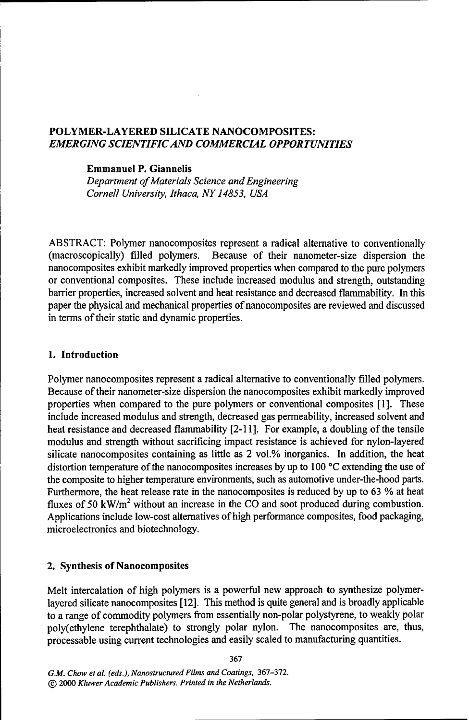## POLYMER-LAYERED **SILICATE NANOCOMPOSITES:** *EMERGING SCIENTIFIC AND COMMERCIAL OPPORTUNITIES*

Emmanuel P. Giannelis

*Department of Materials Science and Engineering Cornell University, Ithaca, NY 14853, USA*

ABSTRACT: Polymer nanocomposites represent a radical alternative to conventionally (macroscopically) filled polymers. Because of their nanometer-size dispersion the nanocomposites exhibit markedly improved properties when compared to the pure polymers or conventional composites. These include increased modulus and strength, outstanding barrier properties, increased solvent and heat resistance and decreased flammability. In this paper the physical and mechanical properties of nanocomposites are reviewed and discussed in terms of their static and dynamic properties.

#### 1. Introduction

Polymer nanocomposites represent a radical alternative to conventionally filled polymers. Because of their nanometer-size dispersion the nanocomposites exhibit markedly improved properties when compared to the pure polymers or conventional composites [1]. These include increased modulus and strength, decreased gas permeability, increased solvent and heat resistance and decreased flammability [2-11]. For example, a doubling of the tensile modulus and strength without sacrificing impact resistance is achieved for nylon-layered silicate nanocomposites containing as little as 2 vol.% inorganics. In addition, the heat distortion temperature of the nanocomposites increases by up to 100 °C extending the use of the composite to higher temperature environments, such as automotive under-the-hood parts. Furthermore, the heat release rate in the nanocomposites is reduced by up to 63 % at heat fluxes of 50 kW/ $m<sup>2</sup>$  without an increase in the CO and soot produced during combustion. Applications include low-cost alternatives of high performance composites, food packaging, microelectronics and biotechnology.

### 2. Synthesis of Nanocomposites

Melt intercalation of high polymers is a powerful new approach to synthesize polymerlayered silicate nanocomposites [12]. This method is quite general and is broadly applicable to a range of commodity polymers from essentially non-polar polystyrene, to weakly polar poly(ethylene terephthalate) to strongly polar nylon. The nanocomposites are, thus, processable using current technologies and easily scaled to manufacturing quantities.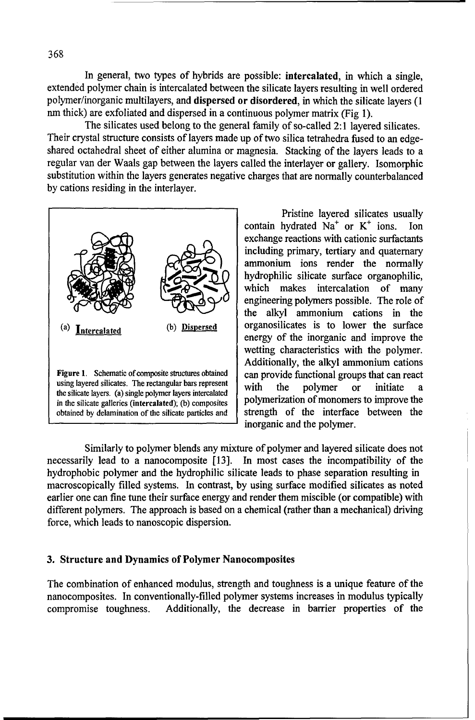In general, two types of hybrids are possible: intercalated, in which a single, extended polymer chain is intercalated between the silicate layers resulting in well ordered polymer/inorganic multilayers, and dispersed or disordered, in which the silicate layers (1 nm thick) are exfoliated and dispersed in a continuous polymer matrix (Fig 1).

The silicates used belong to the general family of so-called 2:1 layered silicates. Their crystal structure consists of layers made up of two silica tetrahedra fused to an edgeshared octahedral sheet of either alumina or magnesia. Stacking of the layers leads to a regular van der Waals gap between the layers called the interlayer or gallery. Isomorphic substitution within the layers generates negative charges that are normally counterbalanced by cations residing in the interlayer.



Pristine layered silicates usually contain hydrated Na<sup>+</sup> or K<sup>+</sup> ions. Ion exchange reactions with cationic surfactants including primary, tertiary and quaternary ammonium ions render the normally hydrophilic silicate surface organophilic, which makes intercalation of many engineering polymers possible. The role of the alkyl ammonium cations in the Intercalated (b) Dispersed organosilicates is to lower the surface energy of the inorganic and improve the wetting characteristics with the polymer. Additionally, the alkyl ammonium cations inorganic and the polymer.

Similarly to polymer blends any mixture of polymer and layered silicate does not necessarily lead to a nanocomposite [13]. In most cases the incompatibility of the hydrophobic polymer and the hydrophilic silicate leads to phase separation resulting in macroscopically filled systems. In contrast, by using surface modified silicates as noted earlier one can fine tune their surface energy and render them miscible (or compatible) with different polymers. The approach is based on a chemical (rather than a mechanical) driving force, which leads to nanoscopic dispersion.

#### 3. Structure and Dynamics of Polymer Nanocomposites

The combination of enhanced modulus, strength and toughness is a unique feature of the nanocomposites. In conventionally-filled polymer systems increases in modulus typically compromise toughness. Additionally, the decrease in barrier properties of the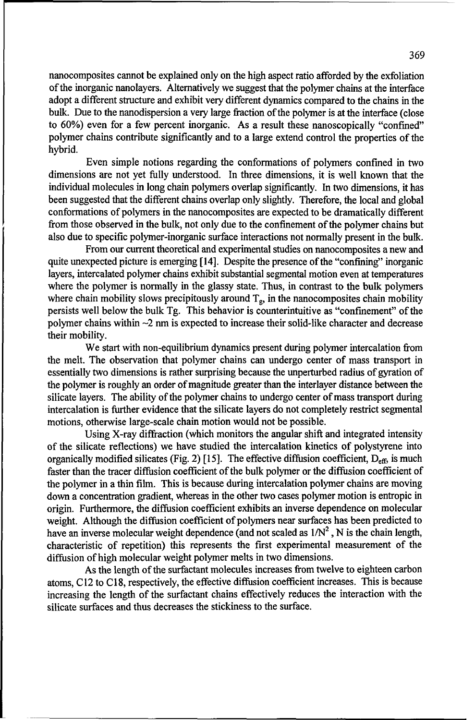nanocomposites cannot be explained only on the high aspect ratio afforded by the exfoliation of the inorganic nanolayers. Alternatively we suggest that the polymer chains at the interface adopt a different structure and exhibit very different dynamics compared to the chains in the bulk. Due to the nanodispersion a very large fraction of the polymer is at the interface (close to 60%) even for a few percent inorganic. As a result these nanoscopically "confined" polymer chains contribute significantly and to a large extend control the properties of the hybrid.

Even simple notions regarding the conformations of polymers confined in two dimensions are not yet fully understood. In three dimensions, it is well known that the individual molecules in long chain polymers overlap significantly. In two dimensions, it has been suggested that the different chains overlap only slightly. Therefore, the local and global conformations of polymers in the nanocomposites are expected to be dramatically different from those observed in the bulk, not only due to the confinement of the polymer chains but also due to specific polymer-inorganic surface interactions not normally present in the bulk.

From our current theoretical and experimental studies on nanocomposites a new and quite unexpected picture is emerging [14]. Despite the presence of the "confining" inorganic layers, intercalated polymer chains exhibit substantial segmental motion even at temperatures where the polymer is normally in the glassy state. Thus, in contrast to the bulk polymers where chain mobility slows precipitously around  $T_{g}$ , in the nanocomposites chain mobility persists well below the bulk Tg. This behavior is counterintuitive as "confinement" of the polymer chains within  $\sim$ 2 nm is expected to increase their solid-like character and decrease their mobility.

We start with non-equilibrium dynamics present during polymer intercalation from the melt. The observation that polymer chains can undergo center of mass transport in essentially two dimensions is rather surprising because the unperturbed radius of gyration of the polymer is roughly an order of magnitude greater than the interlayer distance between the silicate layers. The ability of the polymer chains to undergo center of mass transport during intercalation is further evidence that the silicate layers do not completely restrict segmental motions, otherwise large-scale chain motion would not be possible.

Using X-ray diffraction (which monitors the angular shift and integrated intensity of the silicate reflections) we have studied the intercalation kinetics of polystyrene into organically modified silicates (Fig. 2) [15]. The effective diffusion coefficient,  $D_{eff}$ , is much faster than the tracer diffusion coefficient of the bulk polymer or the diffusion coefficient of the polymer in a thin film. This is because during intercalation polymer chains are moving down a concentration gradient, whereas in the other two cases polymer motion is entropic in origin. Furthermore, the diffusion coefficient exhibits an inverse dependence on molecular weight. Although the diffusion coefficient of polymers near surfaces has been predicted to have an inverse molecular weight dependence (and not scaled as  $1/N^2$ , N is the chain length, characteristic of repetition) this represents the first experimental measurement of the diffusion of high molecular weight polymer melts in two dimensions.

As the length of the surfactant molecules increases from twelve to eighteen carbon atoms, C12 to C18, respectively, the effective diffusion coefficient increases. This is because increasing the length of the surfactant chains effectively reduces the interaction with the silicate surfaces and thus decreases the stickiness to the surface.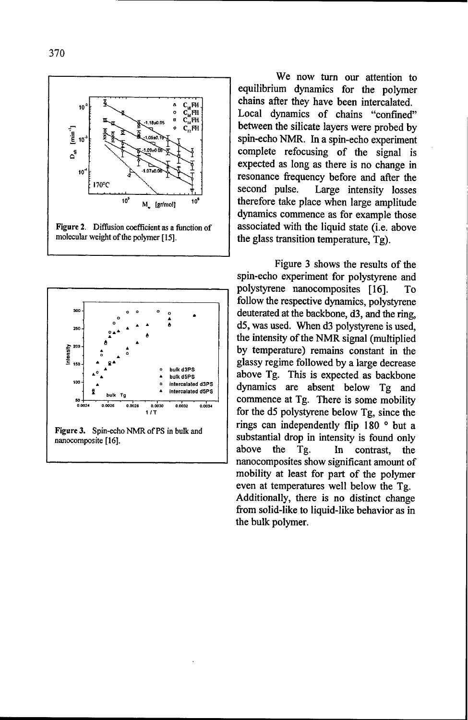



We now turn our attention to equilibrium dynamics for the polymer  $\begin{array}{c} \begin{array}{c} \begin{array}{c} \text{CHH} \\ \text{Cu, BH} \end{array} \\ \begin{array}{c} \text{Cu, CH} \\ \text{Cu, CH} \end{array} \end{array}$  [chains after they have been intercalated. Local dynamics of chains "confined" between the silicate layers were probed by **19**  $\frac{1}{2}$  **10**  $\frac{1}{2}$  **5**  $\frac{1}{2}$  **10**  $\frac{1}{2}$  **10**  $\frac{1}{2}$  **10**  $\frac{1}{2}$  **1**  $\frac{1}{2}$  **1**  $\frac{1}{2}$  **1**  $\frac{1}{2}$  **1**  $\frac{1}{2}$  **1**  $\frac{1}{2}$  **1**  $\frac{1}{2}$  **1**  $\frac{1}{2}$  **1**  $\frac{1}{2}$  **1**  $\frac{1}{2}$  **1**  $\$ expected as long as there is no change in resonance frequency before and after the second pulse. Large intensity losses  $\frac{10^5}{M}$  **M** [gr/mol]  $10^4$  **therefore take place when large amplitude** dynamics commence as for example those Figure 2. Diffusion coefficient as a function of associated with the liquid state (i.e. above molecular weight of the polymer [15]. the glass transition temperature,  $Tg$ ).

Figure 3 shows the results of the spin-echo experiment for polystyrene and polystyrene nanocomposites [16]. To follow the respective dynamics, polystyrene **Po 1 o o o o o o** *deuterated at the backbone, <b>d3, and the ring,* d5, was used. When d3 polystyrene is used. the intensity of the NMR signal (multiplied **A 0** by temperature) remains constant in the **A A A Example 1998 A**  $\left| \right|$  **B** and **EXECUTES B** a large decrease **bulk d3PS** above Tg. This is expected as backbone  $\frac{1}{2}$   $\frac{1}{2}$  bulk  $\frac{1}{2}$  bulk  $\frac{1}{2}$  consequence at Tg. There is some mobility above the Tg. In contrast, the nanocomposites show significant amount of mobility at least for part of the polymer even at temperatures well below the Tg. Additionally, there is no distinct change from solid-like to liquid-like behavior as in the bulk polymer.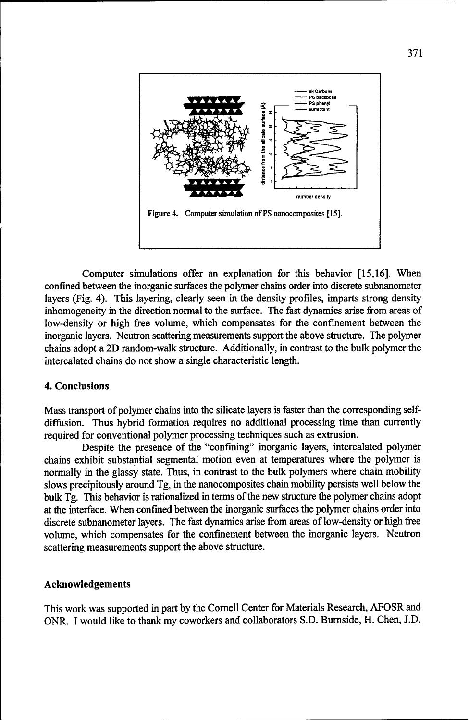

Computer simulations offer an explanation for this behavior [15,16]. When confined between the inorganic surfaces the polymer chains order into discrete subnanometer layers (Fig. 4). This layering, clearly seen in the density profiles, imparts strong density inhomogeneity in the direction normal to the surface. The fast dynamics arise from areas of low-density or high free volume, which compensates for the confinement between the inorganic layers. Neutron scattering measurements support the above structure. The polymer chains adopt a 2D random-walk structure. Additionally, in contrast to the bulk polymer the intercalated chains do not show a single characteristic length.

### 4. Conclusions

Mass transport of polymer chains into the silicate layers is faster than the corresponding selfdiffusion. Thus hybrid formation requires no additional processing time than currently required for conventional polymer processing techniques such as extrusion.

Despite the presence of the "confining" inorganic layers, intercalated polymer chains exhibit substantial segmental motion even at temperatures where the polymer is normally in the glassy state. Thus, in contrast to the bulk polymers where chain mobility slows precipitously around Tg, in the nanocomposites chain mobility persists well below the bulk Tg. This behavior is rationalized in terms of the new structure the polymer chains adopt at the interface. When confined between the inorganic surfaces the polymer chains order into discrete subnanometer layers. The fast dynamics arise from areas of low-density or high free volume, which compensates for the confinement between the inorganic layers. Neutron scattering measurements support the above structure.

#### Acknowledgements

This work was supported in part by the Cornell Center for Materials Research, AFOSR and ONR. I would like to thank my coworkers and collaborators S.D. Burnside, H. Chen, J.D.